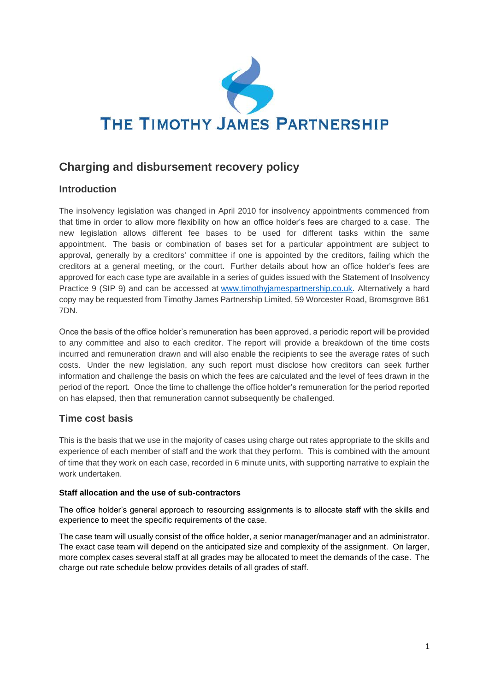

# **Charging and disbursement recovery policy**

# **Introduction**

The insolvency legislation was changed in April 2010 for insolvency appointments commenced from that time in order to allow more flexibility on how an office holder's fees are charged to a case. The new legislation allows different fee bases to be used for different tasks within the same appointment. The basis or combination of bases set for a particular appointment are subject to approval, generally by a creditors' committee if one is appointed by the creditors, failing which the creditors at a general meeting, or the court. Further details about how an office holder's fees are approved for each case type are available in a series of guides issued with the Statement of Insolvency Practice 9 (SIP 9) and can be accessed at [www.timothyjamespartnership.co.uk.](http://www.timothyjamespartnership.co.uk/) Alternatively a hard copy may be requested from Timothy James Partnership Limited, 59 Worcester Road, Bromsgrove B61 7DN.

Once the basis of the office holder's remuneration has been approved, a periodic report will be provided to any committee and also to each creditor. The report will provide a breakdown of the time costs incurred and remuneration drawn and will also enable the recipients to see the average rates of such costs. Under the new legislation, any such report must disclose how creditors can seek further information and challenge the basis on which the fees are calculated and the level of fees drawn in the period of the report. Once the time to challenge the office holder's remuneration for the period reported on has elapsed, then that remuneration cannot subsequently be challenged.

## **Time cost basis**

This is the basis that we use in the majority of cases using charge out rates appropriate to the skills and experience of each member of staff and the work that they perform. This is combined with the amount of time that they work on each case, recorded in 6 minute units, with supporting narrative to explain the work undertaken.

#### **Staff allocation and the use of sub-contractors**

The office holder's general approach to resourcing assignments is to allocate staff with the skills and experience to meet the specific requirements of the case.

The case team will usually consist of the office holder, a senior manager/manager and an administrator. The exact case team will depend on the anticipated size and complexity of the assignment. On larger, more complex cases several staff at all grades may be allocated to meet the demands of the case. The charge out rate schedule below provides details of all grades of staff.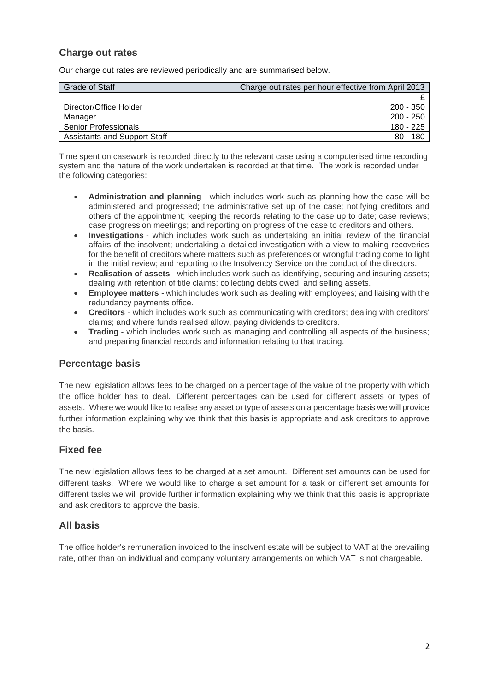## **Charge out rates**

Our charge out rates are reviewed periodically and are summarised below.

| <b>Grade of Staff</b>               | Charge out rates per hour effective from April 2013 |
|-------------------------------------|-----------------------------------------------------|
|                                     |                                                     |
| Director/Office Holder              | $200 - 350$                                         |
| Manager                             | $200 - 250$                                         |
| <b>Senior Professionals</b>         | 180 - 225                                           |
| <b>Assistants and Support Staff</b> | $80 - 180$                                          |

Time spent on casework is recorded directly to the relevant case using a computerised time recording system and the nature of the work undertaken is recorded at that time. The work is recorded under the following categories:

- **Administration and planning** which includes work such as planning how the case will be administered and progressed; the administrative set up of the case; notifying creditors and others of the appointment; keeping the records relating to the case up to date; case reviews; case progression meetings; and reporting on progress of the case to creditors and others.
- **Investigations** which includes work such as undertaking an initial review of the financial affairs of the insolvent; undertaking a detailed investigation with a view to making recoveries for the benefit of creditors where matters such as preferences or wrongful trading come to light in the initial review; and reporting to the Insolvency Service on the conduct of the directors.
- **Realisation of assets** which includes work such as identifying, securing and insuring assets; dealing with retention of title claims; collecting debts owed; and selling assets.
- **Employee matters** which includes work such as dealing with employees; and liaising with the redundancy payments office.
- **Creditors** which includes work such as communicating with creditors; dealing with creditors' claims; and where funds realised allow, paying dividends to creditors.
- **Trading** which includes work such as managing and controlling all aspects of the business; and preparing financial records and information relating to that trading.

## **Percentage basis**

The new legislation allows fees to be charged on a percentage of the value of the property with which the office holder has to deal. Different percentages can be used for different assets or types of assets. Where we would like to realise any asset or type of assets on a percentage basis we will provide further information explaining why we think that this basis is appropriate and ask creditors to approve the basis.

## **Fixed fee**

The new legislation allows fees to be charged at a set amount. Different set amounts can be used for different tasks. Where we would like to charge a set amount for a task or different set amounts for different tasks we will provide further information explaining why we think that this basis is appropriate and ask creditors to approve the basis.

#### **All basis**

The office holder's remuneration invoiced to the insolvent estate will be subject to VAT at the prevailing rate, other than on individual and company voluntary arrangements on which VAT is not chargeable.